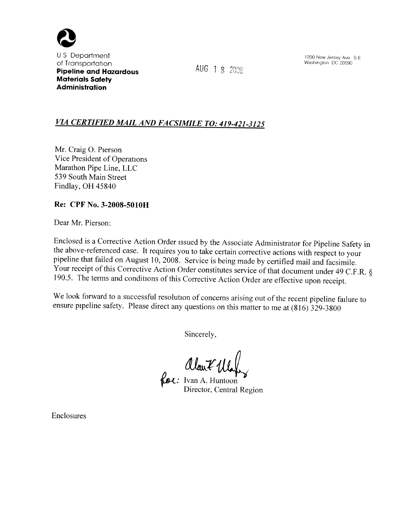

<sup>U</sup>S Department of Transportation Pipeline and Hazardous Materials Safety Administration

AUG 1 8 2008

1200 New Jersey Aye S E Washington DC 20590

## VIA CERTIFIED MAIL AND FACSIMILE TO: 419-421-3125

Mr. Craig O. Pierson Vice President of Operations Marathon Pipe Line, LLC 539 South Main Street Findlay, OH 45840

### Re: CPF No. 3-2008-5010H

Dear Mr. Pierson:

Enclosed is a Corrective Action Order issued by the Associate Administrator for Pipeline Safety in the above-referenced case. It requires you to take certain corrective actions with respect to your pipeline that failed on August 10, 2008. Service is being made by certified mail and facsimile.<br>Your receipt of this Corrective Action Order constitutes service of that document under 49 C.F.R. § 190.5. The terms and conditions of this Corrective Action Order are effective upon receipt.

We look forward to a successful resolution of concerns arising out of the recent pipeline failure to ensure pipeline safety. Please direct any questions on this matter to me at (816) 329-3800

Sincerely,

Clar<sup>7</sup> Max

Director, Central Region

Enclosures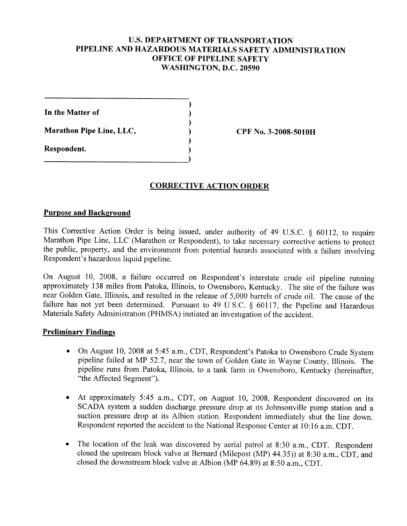## **U.S. DEPARTMENT OF TRANSPORTATION** PIPELINE AND HAZARDOUS MATERIALS SAFETY ADMINISTRATION OFFICE OF PIPELINE SAFETY WASHINGTON, D.C. 20590

In the Matter of

Marathon Pipe Line, LLC,

Respondent.

CPF No. 3-2008-5010H

## CORRECTIVE ACTION ORDER

#### Purpose and Background

This Corrective Action Order is being issued, under authority of 49 U.S.C.  $\S$  60112, to require Marathon Pipe Line, LLC (Marathon or Respondent), to take necessary corrective actions to protect the public, property, and the environment from potential hazards associated with a failure involving Respondent's hazardous liquid pipeline.

On August 10, 2008, a failure occurred on Respondent's interstate crude oil pipeline running approximately 138 miles from Patoka, Illinois, to Owensboro, Kentucky. The site of the failure was near Golden Gate, Illinois, and resulted in the release of 5, 000 barrels of crude oil. The cause of the failure has not yet been determined. Pursuant to 49 U S.C.  $\S$  60117, the Pipeline and Hazardous Materials Safety Administration (PHMSA) initiated an investigation of the accident.

#### **Preliminary Findings**

- On August 10, 2008 at 5:45 a.m., CDT, Respondent's Patoka to Owensboro Crude System pipeline failed at MP 52. 7, near the town of Golden Gate in Wayne County, Illinois. The pipeline runs from Patoka, Illinois, to a tank farm in Owensboro, Kentucky (hereinafter, "the Affected Segment").
- At approximately 5:45 a.m., CDT, on August 10, 2008, Respondent discovered on its SCADA system a sudden discharge pressure drop at its Johnsonville pump station and a suction pressure drop at its Albion station, Respondent immediately shut the line down. Respondent reported the accident to the National Response Center at 10:16 a.m. CDT.
- The location of the leak was discovered by aerial patrol at 8:30 a.m., CDT. Respondent closed the upstream block valve at Bernard (Milepost (MP) 44.35)) at 8:30 a.m., CDT, and closed the downstream block valve at Albion (MP 64.89) at 8:50 a.m., CDT.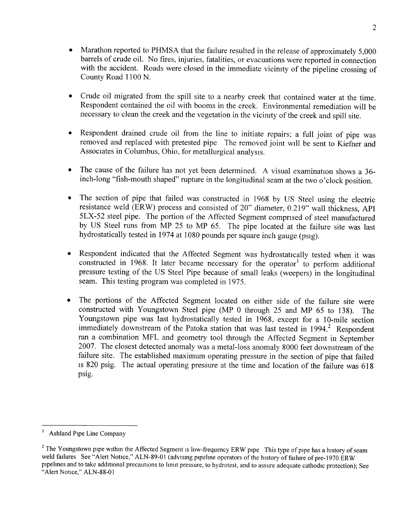- Marathon reported to PHMSA that the failure resulted in the release of approximately 5,000 barrels of crude oil. No fires, injuries, fatalities, or evacuations were reported in connection with the accident. Roads were closed in the immediate vicinity of the pipeline crossing of County Road 1100 N.
- Crude oil migrated from the spill site to a nearby creek that contained water at the time. Respondent contained the oil with booms in the creek. Environmental remediation will be necessary to clean the creek and the vegetation in the vicimty of the creek and spill site.
- <sup>~</sup>Respondent drained crude oil from the line to initiate repairs; a full joint of pipe was removed and replaced with pretested pipe The removed joint will be sent to Kiefner and Associates in Columbus, Ohio, for metallurgical analysis.
- <sup>~</sup>The cause of the failure has not yet been determined. A visual examination shows a 36 inch-long "fish-mouth shaped" rupture in the longitudinal seam at the two o' clock position.
- <sup>~</sup>The section of pipe that failed was constructed in 1968 by US Steel using the electric resistance weld (ERW) process and consisted of 20" diameter, 0.219" wall thickness, API 5LX-52 steel pipe, The portion of the Affected Segment comprised of steel manufactured by US Steel runs from MP 25 to MP 65. The pipe located at the failure site was last hydrostatically tested in 1974 at 1080 pounds per square inch gauge (psig),
- <sup>~</sup>Respondent indicated that the Affected Segment was hydrostatically tested when it was constructed in 1968. It later became necessary for the operator<sup>1</sup> to perform additional pressure testing of the US Steel Pipe because of small leaks (weepers) in the longitudinal seam. This testing program was completed in 1975.
- <sup>~</sup>The portions of the Affected Segment located on either side of the failure site were constructed with Youngstown Steel pipe (MP 0 through 25 and MP 65 to 138). The Youngstown pipe was last hydrostatically tested in 1968, except for a 10-mile section immediately downstream of the Patoka station that was last tested in 1994.<sup>2</sup> Respondent ran a combination MFL and geometry tool through the Affected Segment in September 2007. The closest detected anomaly was a metal-loss anomaly 8000 feet downstream of the failure site. The established maximum operating pressure in the section of pipe that failed is 820 psig, The actual operating pressure at the time and location of the failure was 618 psig.

 $\mathbf{l}$ Ashland Pipe Line Company

 $3$  The Youngstown pipe within the Affected Segment is low-frequency ERW pipe This type of pipe has a history of seam weld failures See "Alert Notice," ALN-89-01 (advising pipeline operators of the history of failure of pre-1970 ERW pipehnes and to take additional precautions to limit pressure, to hydrotest, and to assure adequate cathodic protection); See "Alert Notice," ALN-88-01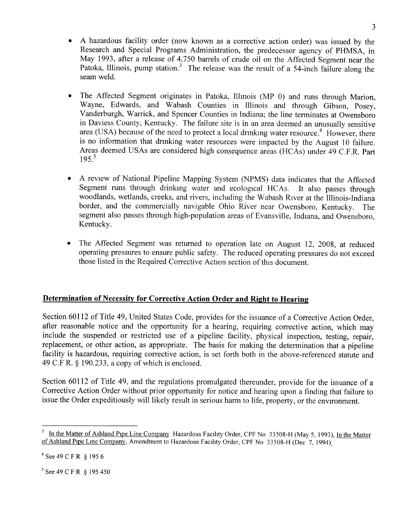- A hazardous facility order (now known as a corrective action order) was issued by the Research and Special Programs Administration, the predecessor agency of PHMSA, in May 1993, after a release of 4,750 barrels of crude oil on the Affected Segment near the Patoka, Illinois, pump station.<sup>3</sup> The release was the result of a 54-inch failure along the seam weld.
- The Affected Segment originates in Patoka, Illmois (MP 0) and runs through Marion, Wayne, Edwards, and Wabash Counties in Illinois and through Gibson, Posey, Vanderburgh, Warrick, and Spencer Counties in Indiana; the line terminates at Owensboro in Daviess County, Kentucky. The failure site is in an area deemed an unusually sensitive area (USA) because of the need to protect a local drinking water resource.<sup>4</sup> However, there is no information that drinking water resources were impacted by the August 10 failure. Areas deemed USAs are considered high consequence areas (HCAs) under 49 C.F.R. Part  $195.<sup>5</sup>$
- <sup>~</sup>A review of National Pipeline Mapping System (NPMS) data indicates that the Affected Segment runs through drinkmg water and ecological HCAs. It also passes through woodlands, wetlands, creeks, and rivers, including the Wabash River at the Illinois-Indiana border, and the commercially navigable Ohio River near Owensboro, Kentucky. The segment also passes through high-population areas of Evansville, Indiana, and Owensboro, Kentucky.
- <sup>~</sup>The Affected Segment was returned to operation late on August 12, 2008, at reduced operating pressures to ensure public safety. The reduced operating pressures do not exceed those listed in the Required Corrective Action section of this document.

# Determination of Necessity for Corrective Action Order and Right to Hearing

Section 60112 of Title 49, United States Code, provides for the issuance of a Corrective Action Order, after reasonable notice and the opportunity for a hearing, requiring corrective action, which may include the suspended or restricted use of a pipeline facility, physical inspection, testing, repair, replacement, or other action, as appropriate. The basis for making the determination that a pipeline facility is hazardous, requiring corrective action, is set forth both in the above-referenced statute and 49 C.F R.  $\S$  190.233, a copy of which is enclosed.

Section 60112 of Title 49, and the regulations promulgated thereunder, provide for the issuance of a Corrective Action Order without prior opportunity for notice and hearing upon a finding that failure to issue the Order expeditiously will likely result in serious harm to life, property, or the environment.

In the Matter of Ashland Pipe Line Company Hazardous Facility Order, CPF No 33508-H (May 5, 1993), In the Matter of Ashland Pipe Line Company, Amendment to Hazardous Facility Order, CPF No 33508-H (Dec 7, 1994)

 $^{4}$  See 49 C F R § 195 6

<sup>&</sup>lt;sup>5</sup> See 49 C F R § 195 450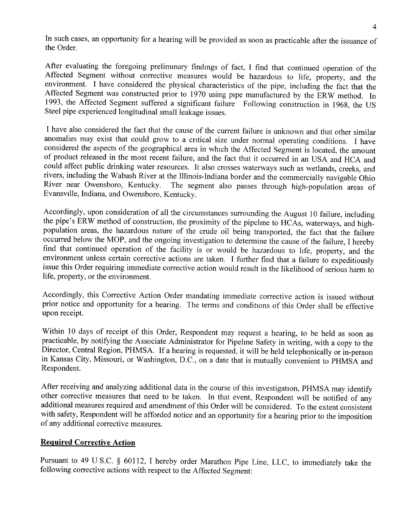In such cases, an opportunity for a hearing will be provided as soon as practicable after the issuance of the Order.

After evaluating the foregoing prelimmary findings of fact, I find that continued operation of the Affected Segment without corrective measures would be hazardous to life, property, and the environment. I have considered the physical characteristics of the pipe, including the fact that the Affected Segment was constructed prior to 1970 using pipe manufactured by the ERW method. In 1993, the Affected Segment suffered a significant failure Following construction in 1968, the US Steel pipe experienced longitudinal small leakage issues.

I have also considered the fact that the cause of the current failure is unknown and that other similar anomalies may exist that could grow to a critical size under normal operating conditions. I have considered the aspects of the geographical area in which the Affected Segment is located, the amount of product released in the most recent failure, and the fact that it occurred in an USA and HCA and could affect public drinking water resources. It also crosses waterways such as wetlands, creeks, and rivers, including the Wabash River at the Illinois-Indiana border and the commercially navigable Ohio<br>River near Owensboro, Kentucky. The segment also passes through high-population areas of The segment also passes through high-population areas of Evansville, Indiana, and Owensboro, Kentucky.

Accordingly, upon consideration of all the circumstances surrounding the August 10 failure, including the pipe's ERW method of construction, the proximity of the pipelme to HCAs, waterways, and highpopulation areas, the hazardous nature of the crude oil being transported, the fact that the failure occurred below the MOP, and the ongoing investigation to determine the cause of the failure, I hereby find that continued operation of the facility is or would be hazardous to life, property, and the environment unless certain corrective actions are taken. I further find that a failure to expeditiously issue this Order requiring immediate corrective action would result in the likelihood of serious harm to life, property, or the environment.

Accordingly, this Corrective Action Order mandating immediate corrective action is issued without prior notice and opportunity for a hearing. The terms and conditions of this Order shall be effective upon receipt.

Within 10 days of receipt of this Order, Respondent may request a hearing, to be held as soon as practicable, by notifying the Associate Administrator for Pipelme Safety in writing, with a copy to the Director, Central Region, PHMSA. If a hearing is requested, it will be held telephonically or in-person in Kansas City, Missouri, or Washington, D.C., on a date that is mutually convenient to PHMSA and Respondent.

After receiving and analyzing additional data in the course of this investigation, PHMSA may identify other corrective measures that need to be taken, In that event, Respondent will be notified of any additional measures required and amendment of this Order will be considered. To the extent consistent with safety, Respondent will be afforded notice and an opportunity for a hearing prior to the imposition of any additional corrective measures.

#### **Required Corrective Action**

Pursuant to 49 U S.C. § 60112, I hereby order Marathon Pipe Line, LLC, to immediately take the following corrective actions with respect to the Affected Segment: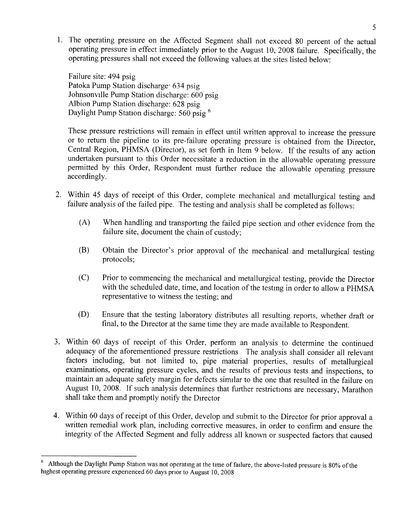1. The operating pressure on the Affected Segment shall not exceed 80 percent of the actual operating pressure in effect immediately prior to the August 10, 2008 failure. Specifically, the operating pressures shall not exceed the following values at the sites listed below:

Failure site: 494 psig Patoka Pump Station discharge 634 psig Johnsonville Pump Station discharge: 600 psig Albion Pump Station discharge: 628 psig Daylight Pump Station discharge: 560 psig<sup>6</sup>

These pressure restrictions will remain in effect until written approval to increase the pressure or to return the pipeline to its pre-failure operating pressure is obtained from the Director, Central Region, PHMSA (Director), as set forth in Item 9 below. If the results of any action undertaken pursuant to this Order necessitate a reduction in the allowable operating pressure permitted by this Order, Respondent must further reduce the allowable operating pressure accordingly.

- 2. Within 45 days of receipt of this Order, complete mechanical and metallurgical testing and failure analysis of the failed pipe. The testing and analysis shall be completed as follows:
	- (A) When handling and transportmg the failed pipe section and other evidence from the failure site, document the chain of custody;
	- (B) Obtain the Director's prior approval of the mechanical and metallurgical testing protocols;
	- (C) Prior to commencing the mechanical and metallurgical testing, provide the Director with the scheduled date, time, and location of the testmg in order to allow a PHMSA representative to witness the testing; and
	- (D) Ensure that the testing laboratory distributes all resulting reports, whether draft or final, to the Director at the same time they are made available to Respondent.
- 3. Within 60 days of receipt of this Order, perform an analysis to determine the continued adequacy of the aforementioned pressure restrictions The analysis shall consider all relevant factors including, but not limited to, pipe material properties, results of metallurgical examinations, operating pressure cycles, and the results of previous tests and inspections, to maintain an adequate safety margin for defects similar to the one that resulted in the failure on August 10, 2008. If such analysis determines that further restrictions are necessary, Marathon shall take them and promptly notify the Director
- 4. Within 60 days of receipt of this Order, develop and submit to the Director for prior approval a written remedial work plan, including corrective measures, in order to confirm and ensure the integrity of the Affected Segment and fully address all known or suspected factors that caused

Although the Daylight Pump Station was not operating at the time of failure, the above-hsted pressure is 80% of the highest operating pressure experienced 60 days prior to August 10, 2008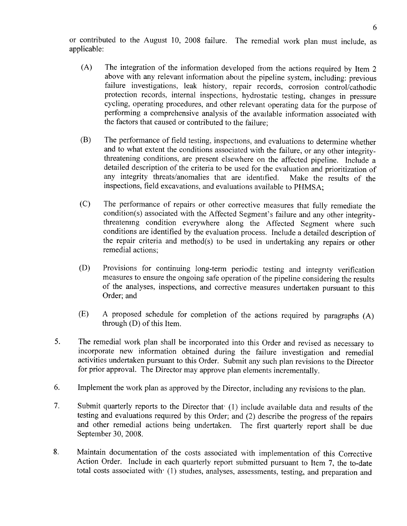or contributed to the August 10, 2008 failure. The remedial work plan must include, as applicable:

- (A) The integration of the information developed from the actions required by Item <sup>2</sup> above with any relevant information about the pipeline system, including: previous failure investigations, leak history, repair records, corrosion control/cathodic protection records, internal inspections, hydrostatic testing, changes in pressure cycling, operating procedures, and other relevant operating data for the purpose of performing a comprehensive analysis of the available information associated with the factors that caused or contributed to the failure;
- (B) The performance of field testing, inspections, and evaluations to determine whether and to what extent the conditions associated with the failure, or any other integritythreatening conditions, are present elsewhere on the affected pipeline. Include a detailed description of the criteria to be used for the evaluation and prioritization of any integrity threats/anomalies that are identified. Make the results of the any integrity threats/anomalies that are identified. inspections, field excavations, and evaluations available to PHMSA;
- (C) The performance of repairs or other corrective measures that fully remediate the condition(s) associated with the Affected Segment's failure and any other integritythreatenmg condition everywhere along the Affected Segment where such conditions are identified by the evaluation process. Include a detailed description of the repair criteria and method(s) to be used in undertaking any repairs or other remedial actions;
- (D) Provisions for continuing long-term periodic testing and integrity verification measures to ensure the ongoing safe operation of the pipeline considering the results of the analyses, inspections, and corrective measures undertaken pursuant to this Order; and
- (E) A proposed schedule for completion of the actions required by paragraphs (A) through (D) of this Item.
- 5. The remedial work plan shall be incorporated into this Order and revised as necessary to incorporate new information obtained during the failure investigation and remedial activities undertaken pursuant to this Order. Submit any such plan revisions to the Director for prior approval. The Director may approve plan elements incrementally.
- 6, Implement the work plan as approved by the Director, including any revisions to the plan.
- Submit quarterly reports to the Director that (1) include available data and results of the  $7.$ testing and evaluations required by this Order; and (2) describe the progress of the repairs and other remedial actions being undertaken. The first quarterly report shall be due September 30, 2008.
- 8. Maintain documentation of the costs associated with implementation of this Corrective Action Order. Include in each quarterly report submitted pursuant to Item 7, the to-date total costs associated with (1) studies, analyses, assessments, testing, and preparation and